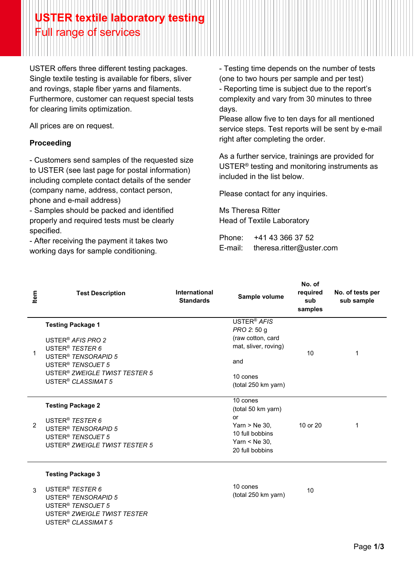## **USTER textile laboratory testing** Full range of services

USTER offers three different testing packages. Single textile testing is available for fibers, sliver and rovings, staple fiber yarns and filaments. Furthermore, customer can request special tests for clearing limits optimization.

All prices are on request.

## **Proceeding**

- Customers send samples of the requested size to USTER (see last page for postal information) including complete contact details of the sender (company name, address, contact person, phone and e-mail address)

- Samples should be packed and identified properly and required tests must be clearly specified.

- After receiving the payment it takes two working days for sample conditioning.

- Testing time depends on the number of tests (one to two hours per sample and per test) - Reporting time is subject due to the report's complexity and vary from 30 minutes to three days.

Please allow five to ten days for all mentioned service steps. Test reports will be sent by e-mail right after completing the order.

As a further service, trainings are provided for USTER® testing and monitoring instruments as included in the list below.

Please contact for any inquiries.

Ms Theresa Ritter Head of Textile Laboratory

Phone: +41 43 366 37 52 E-mail: theresa.ritter@uster.com

| Item           | <b>Test Description</b>                                                                                                                                                                                                                     | <b>International</b><br><b>Standards</b> | Sample volume                                                                                                                        | No. of<br>required<br>sub<br>samples | No. of tests per<br>sub sample |
|----------------|---------------------------------------------------------------------------------------------------------------------------------------------------------------------------------------------------------------------------------------------|------------------------------------------|--------------------------------------------------------------------------------------------------------------------------------------|--------------------------------------|--------------------------------|
| 1              | <b>Testing Package 1</b><br>USTER <sup>®</sup> AFIS PRO 2<br>USTER <sup>®</sup> TESTER 6<br>USTER <sup>®</sup> TENSORAPID 5<br>USTER <sup>®</sup> TENSOJET 5<br>USTER <sup>®</sup> ZWEIGLE TWIST TESTER 5<br>USTER <sup>®</sup> CLASSIMAT 5 |                                          | USTER <sup>®</sup> AFIS<br><i>PRO 2: 50 g</i><br>(raw cotton, card<br>mat, sliver, roving)<br>and<br>10 cones<br>(total 250 km yarn) | 10                                   |                                |
| $\overline{2}$ | <b>Testing Package 2</b><br>USTER <sup>®</sup> TESTER 6<br>USTER <sup>®</sup> TENSORAPID 5<br>USTER <sup>®</sup> TENSOJET 5<br>USTER <sup>®</sup> ZWEIGLE TWIST TESTER 5                                                                    |                                          | 10 cones<br>(total 50 km yarn)<br>or<br>$Yarn > Ne 30$ ,<br>10 full bobbins<br>Yarn $<$ Ne 30,<br>20 full bobbins                    | 10 or 20                             |                                |

## **Testing Package 3**

3 USTER® *TESTER 6* USTER® *TENSORAPID 5*  USTER® *TENSOJET 5* USTER® *ZWEIGLE TWIST TESTER* USTER® *CLASSIMAT 5* 

10 cones To cones<br>(total 250 km yarn) 10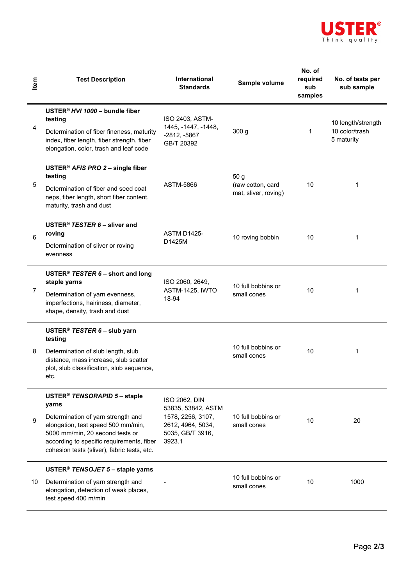

| tem | <b>Test Description</b>                                                                                                                                                                                                                                      | <b>International</b><br><b>Standards</b>                                                                    | Sample volume                                     | No. of<br>required<br>sub<br>samples | No. of tests per<br>sub sample                     |
|-----|--------------------------------------------------------------------------------------------------------------------------------------------------------------------------------------------------------------------------------------------------------------|-------------------------------------------------------------------------------------------------------------|---------------------------------------------------|--------------------------------------|----------------------------------------------------|
| 4   | USTER <sup>®</sup> HVI 1000 - bundle fiber<br>testing<br>Determination of fiber fineness, maturity<br>index, fiber length, fiber strength, fiber<br>elongation, color, trash and leaf code                                                                   | ISO 2403, ASTM-<br>1445, -1447, -1448,<br>$-2812, -5867$<br>GB/T 20392                                      | 300 g                                             | $\mathbf 1$                          | 10 length/strength<br>10 color/trash<br>5 maturity |
| 5   | USTER <sup>®</sup> AFIS PRO 2 - single fiber<br>testing<br>Determination of fiber and seed coat<br>neps, fiber length, short fiber content,<br>maturity, trash and dust                                                                                      | ASTM-5866                                                                                                   | 50 g<br>(raw cotton, card<br>mat, sliver, roving) | 10                                   | 1                                                  |
| 6   | USTER <sup>®</sup> TESTER $6$ – sliver and<br>roving<br>Determination of sliver or roving<br>evenness                                                                                                                                                        | <b>ASTM D1425-</b><br>D1425M                                                                                | 10 roving bobbin                                  | 10                                   | 1                                                  |
| 7   | USTER <sup>®</sup> TESTER $6$ – short and long<br>staple yarns<br>Determination of yarn evenness,<br>imperfections, hairiness, diameter,<br>shape, density, trash and dust                                                                                   | ISO 2060, 2649,<br>ASTM-1425, IWTO<br>18-94                                                                 | 10 full bobbins or<br>small cones                 | 10                                   | 1                                                  |
| 8   | USTER <sup>®</sup> TESTER $6$ – slub yarn<br>testing<br>Determination of slub length, slub<br>distance, mass increase, slub scatter<br>plot, slub classification, slub sequence,<br>etc.                                                                     |                                                                                                             | 10 full bobbins or<br>small cones                 | 10                                   | 1                                                  |
| 9   | USTER <sup>®</sup> TENSORAPID 5 - staple<br>yarns<br>Determination of yarn strength and<br>elongation, test speed 500 mm/min,<br>5000 mm/min, 20 second tests or<br>according to specific requirements, fiber<br>cohesion tests (sliver), fabric tests, etc. | ISO 2062, DIN<br>53835, 53842, ASTM<br>1578, 2256, 3107,<br>2612, 4964, 5034,<br>5035, GB/T 3916,<br>3923.1 | 10 full bobbins or<br>small cones                 | 10                                   | 20                                                 |
| 10  | USTER <sup>®</sup> TENSOJET 5 - staple yarns<br>Determination of yarn strength and<br>elongation, detection of weak places,<br>test speed 400 m/min                                                                                                          |                                                                                                             | 10 full bobbins or<br>small cones                 | 10                                   | 1000                                               |